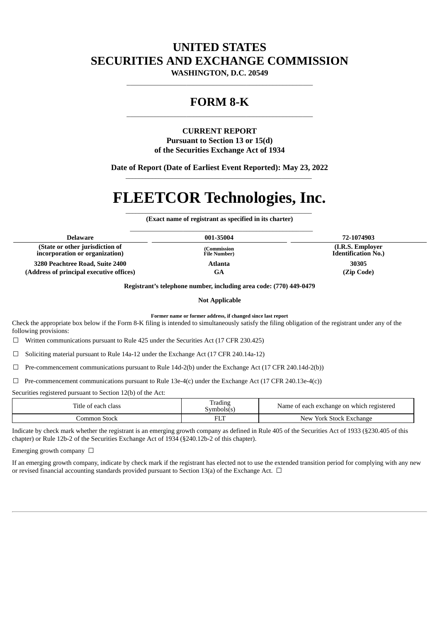## **UNITED STATES SECURITIES AND EXCHANGE COMMISSION**

**WASHINGTON, D.C. 20549** \_\_\_\_\_\_\_\_\_\_\_\_\_\_\_\_\_\_\_\_\_\_\_\_\_\_\_\_\_\_\_\_\_\_\_\_\_\_\_\_\_\_\_\_\_\_\_\_\_\_\_\_\_\_\_\_

### **FORM 8-K** \_\_\_\_\_\_\_\_\_\_\_\_\_\_\_\_\_\_\_\_\_\_\_\_\_\_\_\_\_\_\_\_\_\_\_\_\_\_\_\_\_\_\_\_\_\_\_\_\_\_\_\_\_\_\_\_

### **CURRENT REPORT Pursuant to Section 13 or 15(d) of the Securities Exchange Act of 1934**

**Date of Report (Date of Earliest Event Reported): May 23, 2022** \_\_\_\_\_\_\_\_\_\_\_\_\_\_\_\_\_\_\_\_\_\_\_\_\_\_\_\_\_\_\_\_\_\_\_\_\_\_\_\_\_\_\_\_\_\_\_\_\_\_\_\_\_\_\_\_

# **FLEETCOR Technologies, Inc.**

\_\_\_\_\_\_\_\_\_\_\_\_\_\_\_\_\_\_\_\_\_\_\_\_\_\_\_\_\_\_\_\_\_\_\_\_\_\_\_\_\_\_\_\_\_\_\_\_\_\_\_\_\_\_\_\_ **(Exact name of registrant as specified in its charter)** \_\_\_\_\_\_\_\_\_\_\_\_\_\_\_\_\_\_\_\_\_\_\_\_\_\_\_\_\_\_\_\_\_\_\_\_\_\_\_\_\_\_\_\_\_\_\_\_\_\_\_\_\_\_\_

| <b>Delaware</b>                                                   | 001-35004                            | 72-1074903                                      |
|-------------------------------------------------------------------|--------------------------------------|-------------------------------------------------|
| (State or other jurisdiction of<br>incorporation or organization) | (Commission)<br><b>File Number</b> ) | (I.R.S. Employer)<br><b>Identification No.)</b> |
| 3280 Peachtree Road, Suite 2400                                   | Atlanta                              | 30305                                           |
| (Address of principal executive offices)                          | GA                                   | (Zip Code)                                      |

**Registrant's telephone number, including area code: (770) 449-0479**

**Not Applicable**

**Former name or former address, if changed since last report**

Check the appropriate box below if the Form 8-K filing is intended to simultaneously satisfy the filing obligation of the registrant under any of the following provisions:

☐ Written communications pursuant to Rule 425 under the Securities Act (17 CFR 230.425)

☐ Soliciting material pursuant to Rule 14a-12 under the Exchange Act (17 CFR 240.14a-12)

 $\Box$  Pre-commencement communications pursuant to Rule 14d-2(b) under the Exchange Act (17 CFR 240.14d-2(b))

 $\Box$  Pre-commencement communications pursuant to Rule 13e-4(c) under the Exchange Act (17 CFR 240.13e-4(c))

Securities registered pursuant to Section 12(b) of the Act:

| Title of each class | Ð<br>rading<br>Symbols(s | Name of each exchange on which registered      |
|---------------------|--------------------------|------------------------------------------------|
| Stock<br>.ommon     | 51 T                     | <b>New</b><br><sup>,</sup> York Stock Exchange |

Indicate by check mark whether the registrant is an emerging growth company as defined in Rule 405 of the Securities Act of 1933 (§230.405 of this chapter) or Rule 12b-2 of the Securities Exchange Act of 1934 (§240.12b-2 of this chapter).

Emerging growth company  $\Box$ 

If an emerging growth company, indicate by check mark if the registrant has elected not to use the extended transition period for complying with any new or revised financial accounting standards provided pursuant to Section 13(a) of the Exchange Act.  $\Box$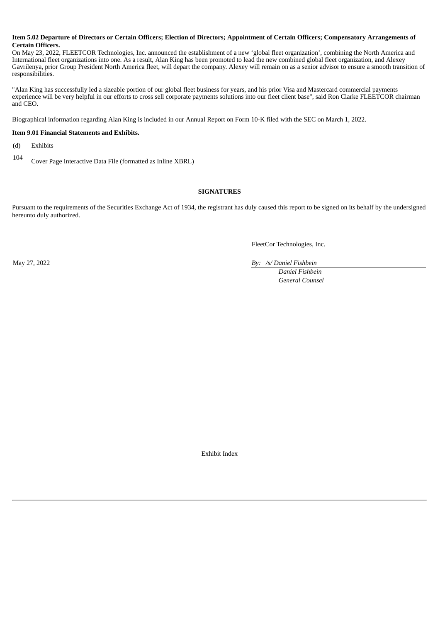#### Item 5.02 Departure of Directors or Certain Officers; Election of Directors; Appointment of Certain Officers; Compensatory Arrangements of **Certain Officers.**

On May 23, 2022, FLEETCOR Technologies, Inc. announced the establishment of a new 'global fleet organization', combining the North America and International fleet organizations into one. As a result, Alan King has been promoted to lead the new combined global fleet organization, and Alexey Gavrilenya, prior Group President North America fleet, will depart the company. Alexey will remain on as a senior advisor to ensure a smooth transition of responsibilities.

"Alan King has successfully led a sizeable portion of our global fleet business for years, and his prior Visa and Mastercard commercial payments experience will be very helpful in our efforts to cross sell corporate payments solutions into our fleet client base", said Ron Clarke FLEETCOR chairman and CEO.

Biographical information regarding Alan King is included in our Annual Report on Form 10-K filed with the SEC on March 1, 2022.

### **Item 9.01 Financial Statements and Exhibits.**

(d) Exhibits

<sup>104</sup> Cover Page Interactive Data File (formatted as Inline XBRL)

### **SIGNATURES**

Pursuant to the requirements of the Securities Exchange Act of 1934, the registrant has duly caused this report to be signed on its behalf by the undersigned hereunto duly authorized.

FleetCor Technologies, Inc.

May 27, 2022 *By: /s/ Daniel Fishbein*

*Daniel Fishbein General Counsel*

Exhibit Index